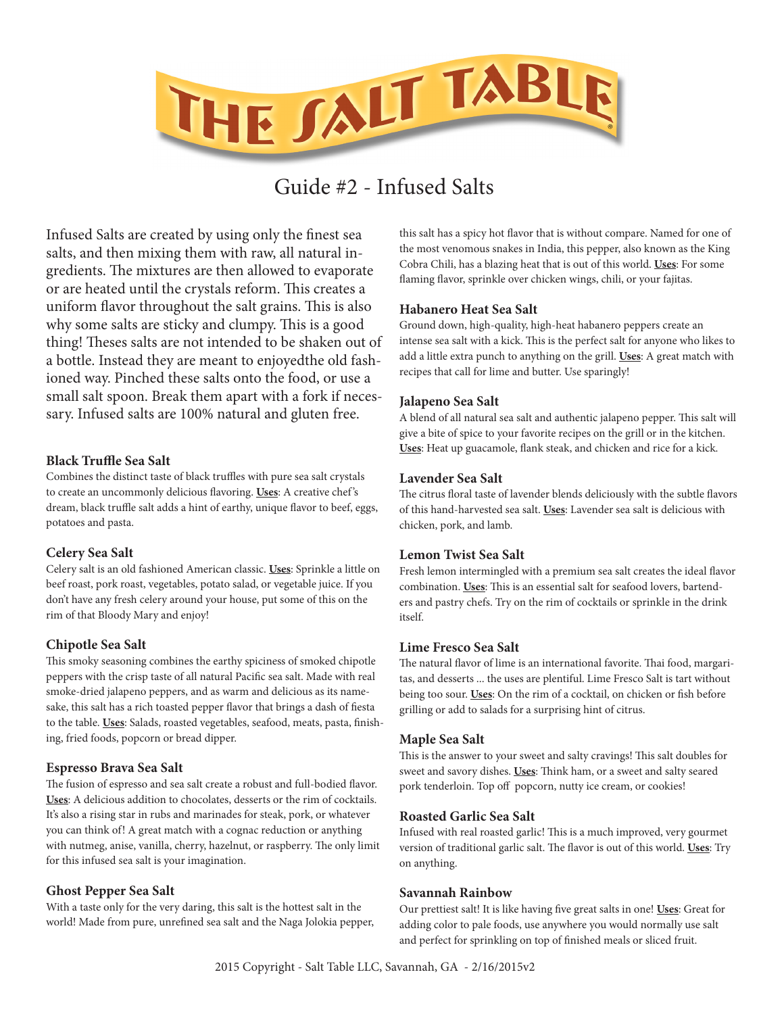

# Guide #2 - Infused Salts

Infused Salts are created by using only the finest sea salts, and then mixing them with raw, all natural ingredients. The mixtures are then allowed to evaporate or are heated until the crystals reform. This creates a uniform flavor throughout the salt grains. This is also why some salts are sticky and clumpy. This is a good thing! Theses salts are not intended to be shaken out of a bottle. Instead they are meant to enjoyedthe old fashioned way. Pinched these salts onto the food, or use a small salt spoon. Break them apart with a fork if necessary. Infused salts are 100% natural and gluten free.

#### **Black Truffle Sea Salt**

Combines the distinct taste of black truffles with pure sea salt crystals to create an uncommonly delicious flavoring. **Uses**: A creative chef 's dream, black truffle salt adds a hint of earthy, unique flavor to beef, eggs, potatoes and pasta.

#### **Celery Sea Salt**

Celery salt is an old fashioned American classic. **Uses**: Sprinkle a little on beef roast, pork roast, vegetables, potato salad, or vegetable juice. If you don't have any fresh celery around your house, put some of this on the rim of that Bloody Mary and enjoy!

## **Chipotle Sea Salt**

This smoky seasoning combines the earthy spiciness of smoked chipotle peppers with the crisp taste of all natural Pacific sea salt. Made with real smoke-dried jalapeno peppers, and as warm and delicious as its namesake, this salt has a rich toasted pepper flavor that brings a dash of fiesta to the table. **Uses**: Salads, roasted vegetables, seafood, meats, pasta, finishing, fried foods, popcorn or bread dipper.

## **Espresso Brava Sea Salt**

The fusion of espresso and sea salt create a robust and full-bodied flavor. **Uses**: A delicious addition to chocolates, desserts or the rim of cocktails. It's also a rising star in rubs and marinades for steak, pork, or whatever you can think of! A great match with a cognac reduction or anything with nutmeg, anise, vanilla, cherry, hazelnut, or raspberry. The only limit for this infused sea salt is your imagination.

#### **Ghost Pepper Sea Salt**

With a taste only for the very daring, this salt is the hottest salt in the world! Made from pure, unrefined sea salt and the Naga Jolokia pepper, this salt has a spicy hot flavor that is without compare. Named for one of the most venomous snakes in India, this pepper, also known as the King Cobra Chili, has a blazing heat that is out of this world. **Uses**: For some flaming flavor, sprinkle over chicken wings, chili, or your fajitas.

#### **Habanero Heat Sea Salt**

Ground down, high-quality, high-heat habanero peppers create an intense sea salt with a kick. This is the perfect salt for anyone who likes to add a little extra punch to anything on the grill. **Uses**: A great match with recipes that call for lime and butter. Use sparingly!

#### **Jalapeno Sea Salt**

A blend of all natural sea salt and authentic jalapeno pepper. This salt will give a bite of spice to your favorite recipes on the grill or in the kitchen. **Uses**: Heat up guacamole, flank steak, and chicken and rice for a kick.

## **Lavender Sea Salt**

The citrus floral taste of lavender blends deliciously with the subtle flavors of this hand-harvested sea salt. **Uses**: Lavender sea salt is delicious with chicken, pork, and lamb.

#### **Lemon Twist Sea Salt**

Fresh lemon intermingled with a premium sea salt creates the ideal flavor combination. **Uses**: This is an essential salt for seafood lovers, bartenders and pastry chefs. Try on the rim of cocktails or sprinkle in the drink itself.

#### **Lime Fresco Sea Salt**

The natural flavor of lime is an international favorite. Thai food, margaritas, and desserts ... the uses are plentiful. Lime Fresco Salt is tart without being too sour. **Uses**: On the rim of a cocktail, on chicken or fish before grilling or add to salads for a surprising hint of citrus.

#### **Maple Sea Salt**

This is the answer to your sweet and salty cravings! This salt doubles for sweet and savory dishes. **Uses**: Think ham, or a sweet and salty seared pork tenderloin. Top off popcorn, nutty ice cream, or cookies!

#### **Roasted Garlic Sea Salt**

Infused with real roasted garlic! This is a much improved, very gourmet version of traditional garlic salt. The flavor is out of this world. **Uses**: Try on anything.

#### **Savannah Rainbow**

Our prettiest salt! It is like having five great salts in one! **Uses**: Great for adding color to pale foods, use anywhere you would normally use salt and perfect for sprinkling on top of finished meals or sliced fruit.